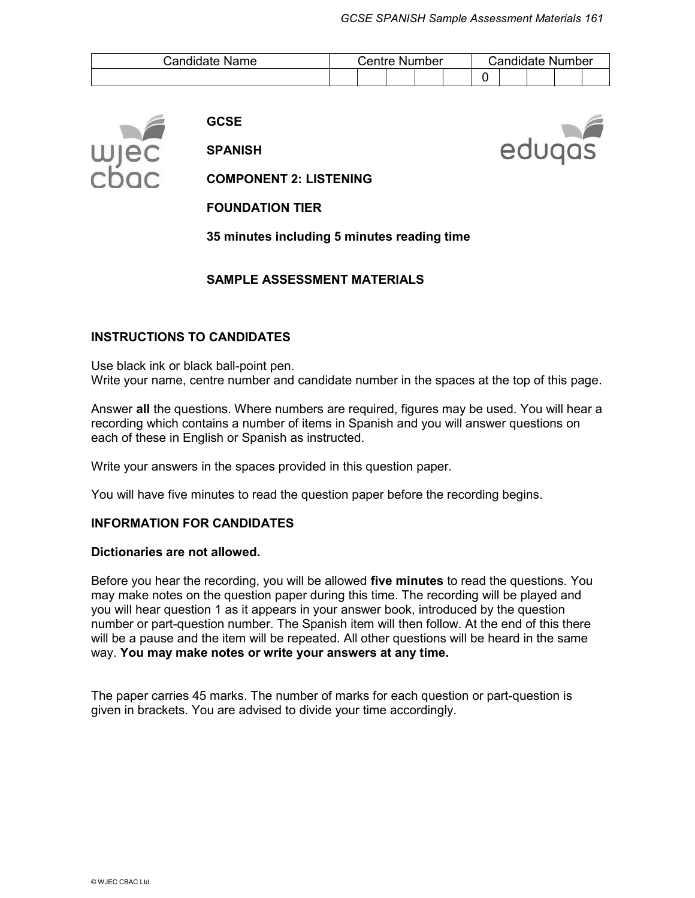edugas

| Candidate Name | Centre Number |  | Candidate Number |  |  |  |  |  |  |  |
|----------------|---------------|--|------------------|--|--|--|--|--|--|--|
|                |               |  |                  |  |  |  |  |  |  |  |



**GCSE** 

**SPANISH**

**COMPONENT 2: LISTENING** 

**FOUNDATION TIER**

**35 minutes including 5 minutes reading time** 

#### **SAMPLE ASSESSMENT MATERIALS**

#### **INSTRUCTIONS TO CANDIDATES**

Use black ink or black ball-point pen. Write your name, centre number and candidate number in the spaces at the top of this page.

Answer **all** the questions. Where numbers are required, figures may be used. You will hear a recording which contains a number of items in Spanish and you will answer questions on each of these in English or Spanish as instructed.

Write your answers in the spaces provided in this question paper.

You will have five minutes to read the question paper before the recording begins.

#### **INFORMATION FOR CANDIDATES**

#### **Dictionaries are not allowed.**

Before you hear the recording, you will be allowed **five minutes** to read the questions. You may make notes on the question paper during this time. The recording will be played and you will hear question 1 as it appears in your answer book, introduced by the question number or part-question number. The Spanish item will then follow. At the end of this there will be a pause and the item will be repeated. All other questions will be heard in the same way. **You may make notes or write your answers at any time.**

The paper carries 45 marks. The number of marks for each question or part-question is given in brackets. You are advised to divide your time accordingly.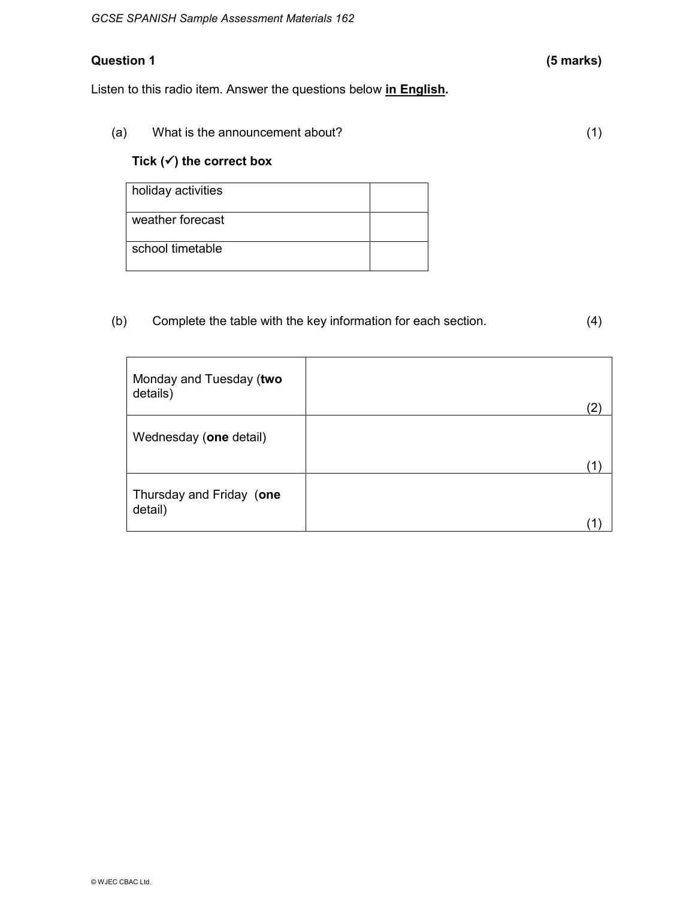# **Question 1 (5 marks)**

Listen to this radio item. Answer the questions below **in English.** 

| (a) | What is the announcement about? |  |
|-----|---------------------------------|--|
|     |                                 |  |

# **Tick (**ü**) the correct box**

| holiday activities |  |
|--------------------|--|
| weather forecast   |  |
| school timetable   |  |

(b) Complete the table with the key information for each section. (4)

| Monday and Tuesday (two<br>details) | 2 |
|-------------------------------------|---|
| Wednesday (one detail)              |   |
|                                     |   |
| Thursday and Friday (one<br>detail) |   |
|                                     |   |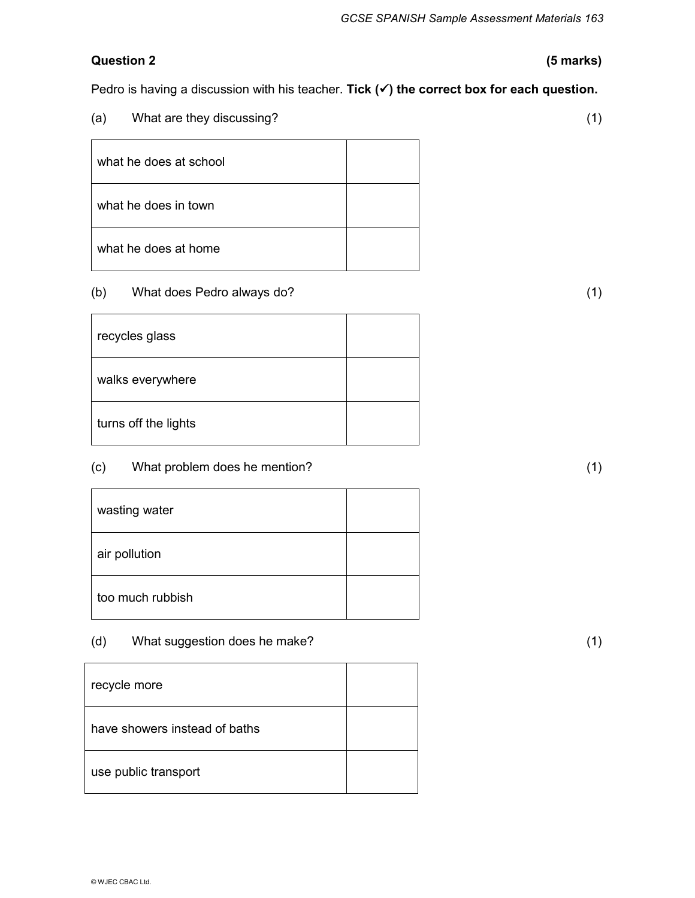## **Question 2 (5 marks)**

Pedro is having a discussion with his teacher. **Tick (v) the correct box for each question.** 

| What are they discussing?<br>(a) |  |
|----------------------------------|--|
| what he does at school           |  |
| what he does in town             |  |
| what he does at home             |  |

#### (b) What does Pedro always do? (1)

| recycles glass       |  |
|----------------------|--|
| walks everywhere     |  |
| turns off the lights |  |

# (c) What problem does he mention? (1)

| wasting water    |  |
|------------------|--|
| air pollution    |  |
| too much rubbish |  |

(d) What suggestion does he make? (1)

| recycle more                  |  |
|-------------------------------|--|
| have showers instead of baths |  |
| use public transport          |  |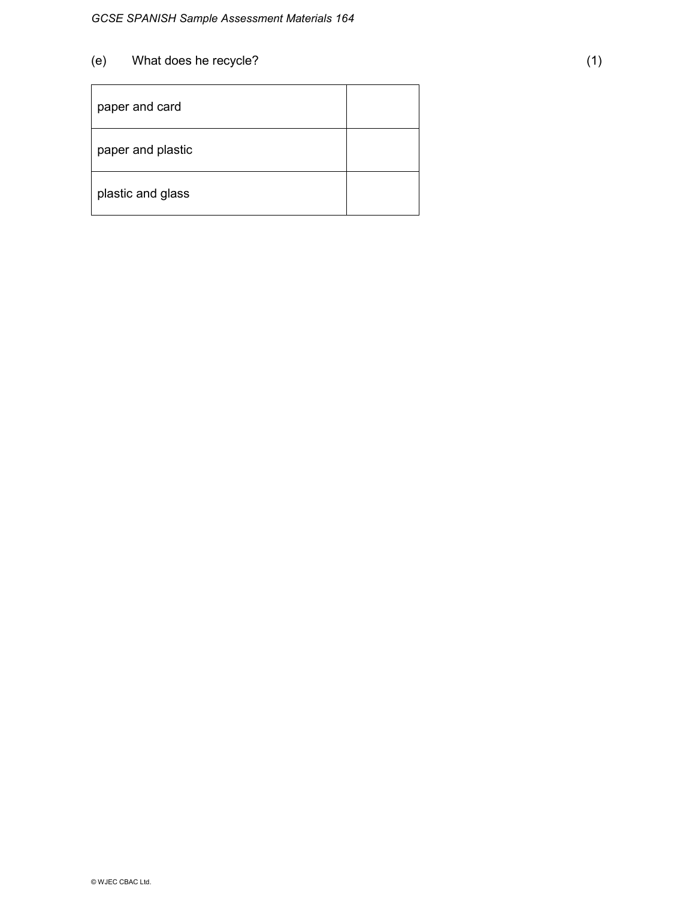Ē

| paper and card    |  |
|-------------------|--|
| paper and plastic |  |
| plastic and glass |  |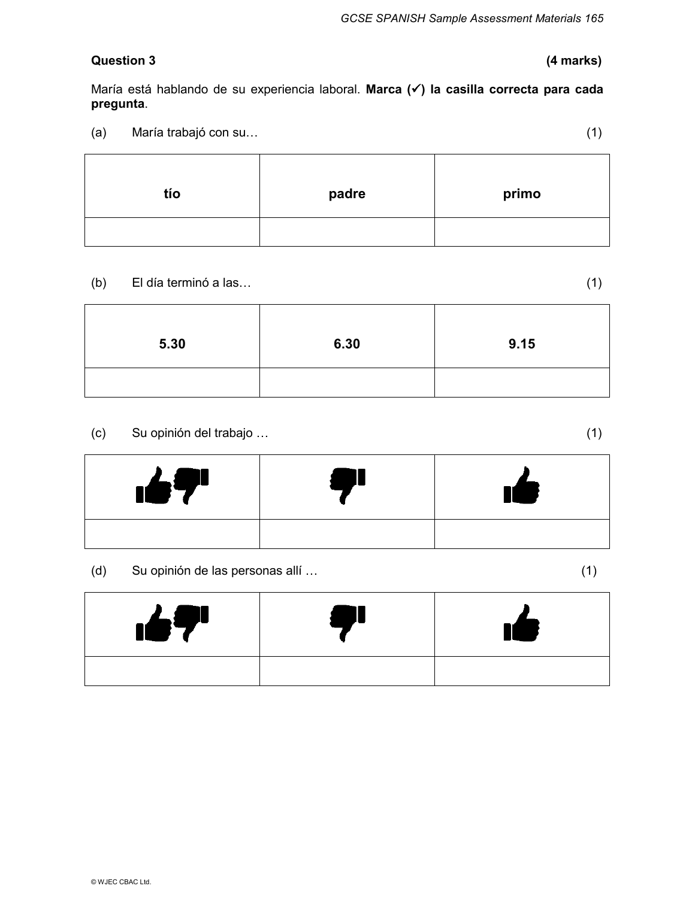## **Question 3 (4 marks)**

María está hablando de su experiencia laboral. **Marca (**ü**) la casilla correcta para cada pregunta**.

(a) María trabajó con su… (1)

| tío | padre | primo |
|-----|-------|-------|
|     |       |       |

(b) El día terminó a las… (1)

**5.30 6.30 9.15** 

(c) Su opinión del trabajo … (1)

 $\blacksquare$ 

(d) Su opinión de las personas allí … (1)

| $\mathbf{167}^{\prime}$ |  |
|-------------------------|--|
|                         |  |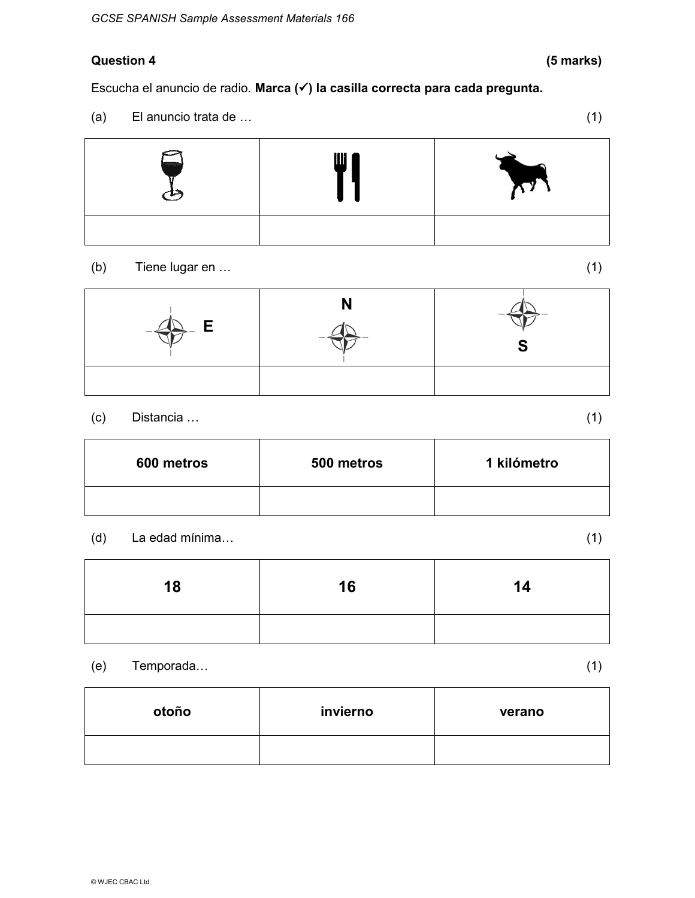# **Question 4 (5 marks)**

Escucha el anuncio de radio. **Marca (**ü**) la casilla correcta para cada pregunta.** 

(a) El anuncio trata de … (1)



(b) Tiene lugar en … (1)

| . E<br>$-\leftarrow$ |  |
|----------------------|--|
|                      |  |

# (c) Distancia … (1)

| 600 metros | 500 metros | 1 kilómetro |
|------------|------------|-------------|
|            |            |             |

## (d) La edad mínima… (1)

**18 16 14** 

(e) Temporada… (1)

**otoño invierno verano** 

© WJEC CBAC Ltd.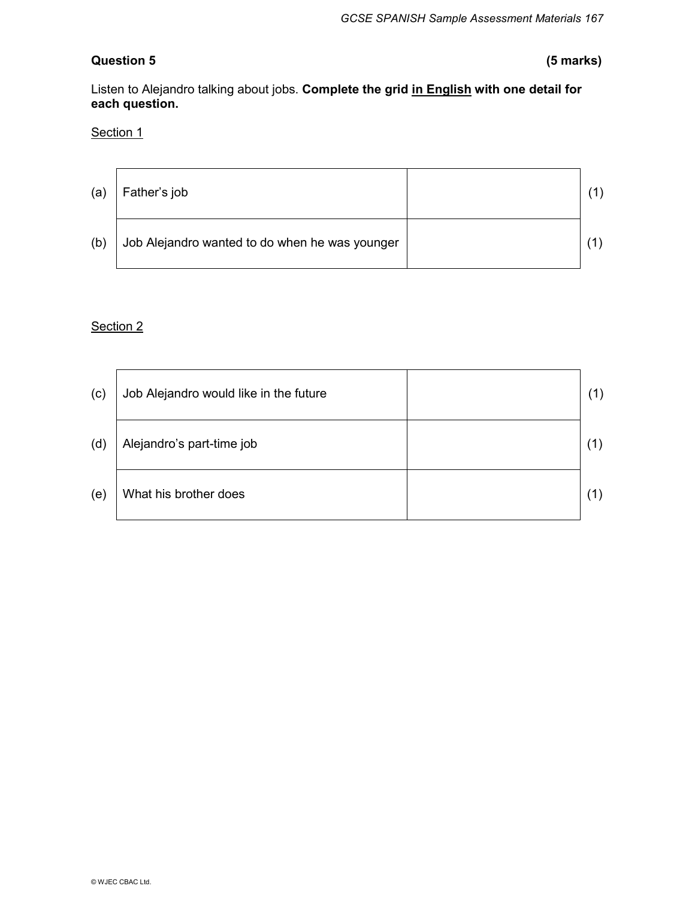# **Question 5 (5 marks)**

Listen to Alejandro talking about jobs. **Complete the grid in English with one detail for each question.** 

#### Section 1

| (a) | Father's job                                   |  |
|-----|------------------------------------------------|--|
| (b) | Job Alejandro wanted to do when he was younger |  |

## Section 2

| (c) | Job Alejandro would like in the future |  |
|-----|----------------------------------------|--|
| (d) | Alejandro's part-time job              |  |
| (e) | What his brother does                  |  |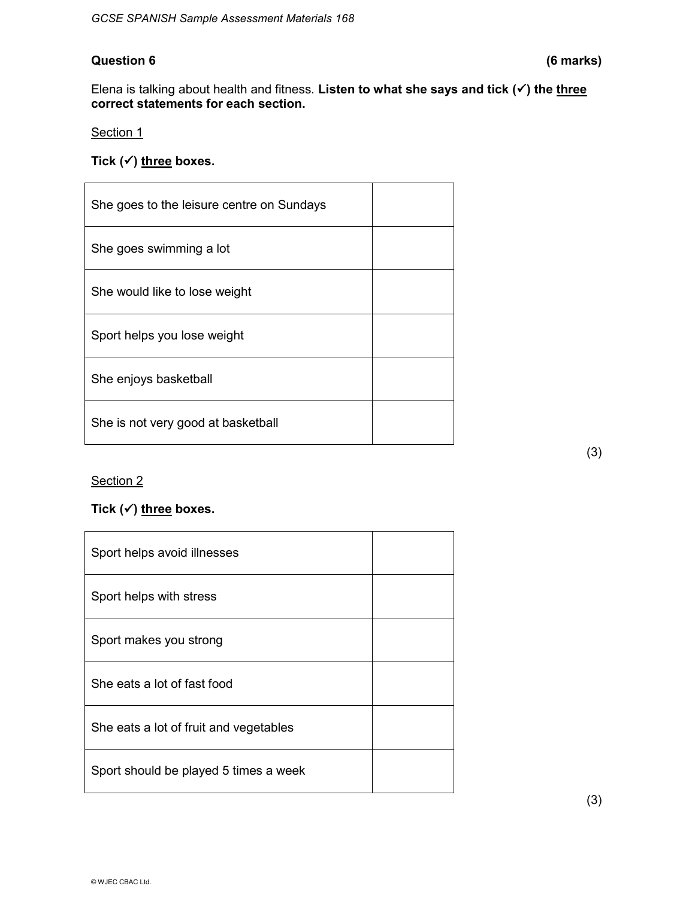#### **Question 6 (6 marks)**

Elena is talking about health and fitness. Listen to what she says and tick ( $\checkmark$ ) the three **correct statements for each section.** 

Section 1

Tick (√) three boxes.

| She goes to the leisure centre on Sundays |  |
|-------------------------------------------|--|
| She goes swimming a lot                   |  |
| She would like to lose weight             |  |
| Sport helps you lose weight               |  |
| She enjoys basketball                     |  |
| She is not very good at basketball        |  |

Section 2

## Tick (√) three boxes.

| Sport helps avoid illnesses            |  |
|----------------------------------------|--|
| Sport helps with stress                |  |
| Sport makes you strong                 |  |
| She eats a lot of fast food            |  |
| She eats a lot of fruit and vegetables |  |
| Sport should be played 5 times a week  |  |

(3)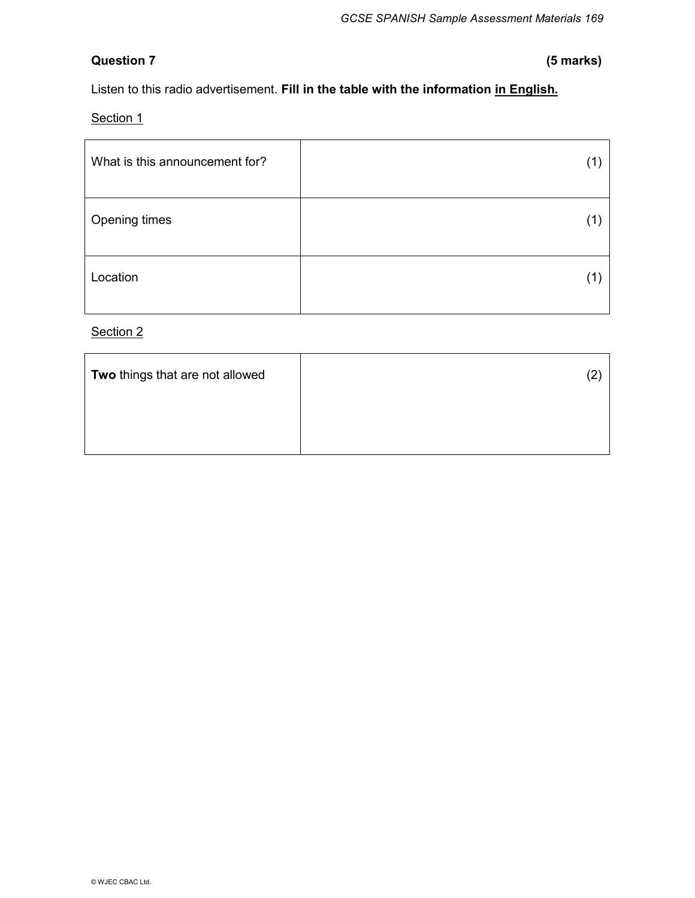# **Question 7 (5 marks)**

Listen to this radio advertisement. **Fill in the table with the information in English.** 

Section 1

| What is this announcement for? |  |
|--------------------------------|--|
| Opening times                  |  |
| Location                       |  |

Section 2

| Two things that are not allowed |  |
|---------------------------------|--|
|                                 |  |
|                                 |  |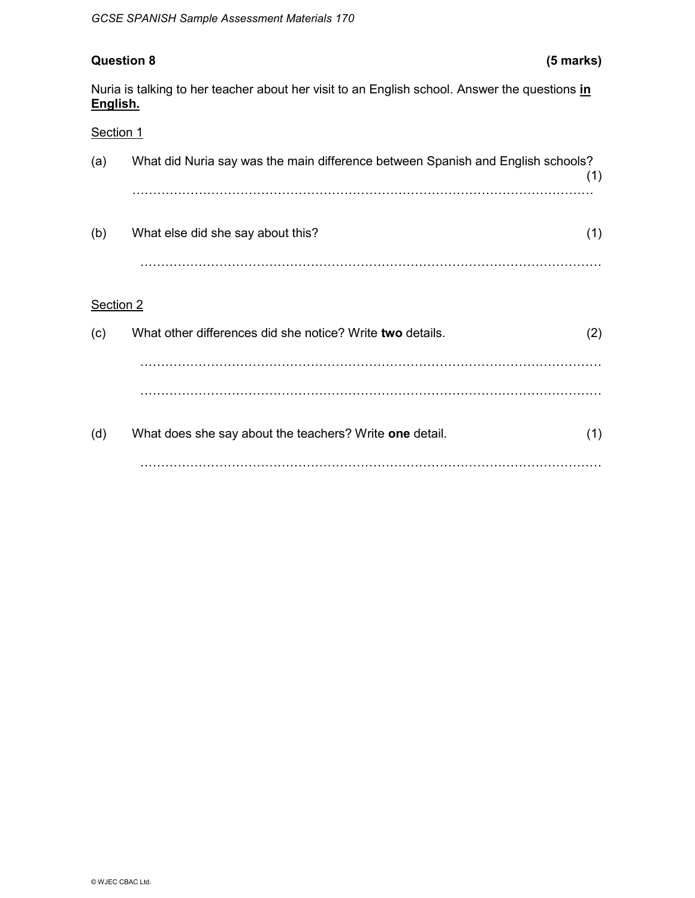# **Question 8 (5 marks)**

Nuria is talking to her teacher about her visit to an English school. Answer the questions **in English.** 

#### Section 1

| (a)       | What did Nuria say was the main difference between Spanish and English schools? | (1) |
|-----------|---------------------------------------------------------------------------------|-----|
| (b)       | What else did she say about this?                                               | (1) |
| Section 2 |                                                                                 |     |
| (c)       | What other differences did she notice? Write two details.                       | (2) |
|           |                                                                                 |     |
|           |                                                                                 |     |
| (d)       | What does she say about the teachers? Write one detail.                         | (1) |
|           |                                                                                 |     |